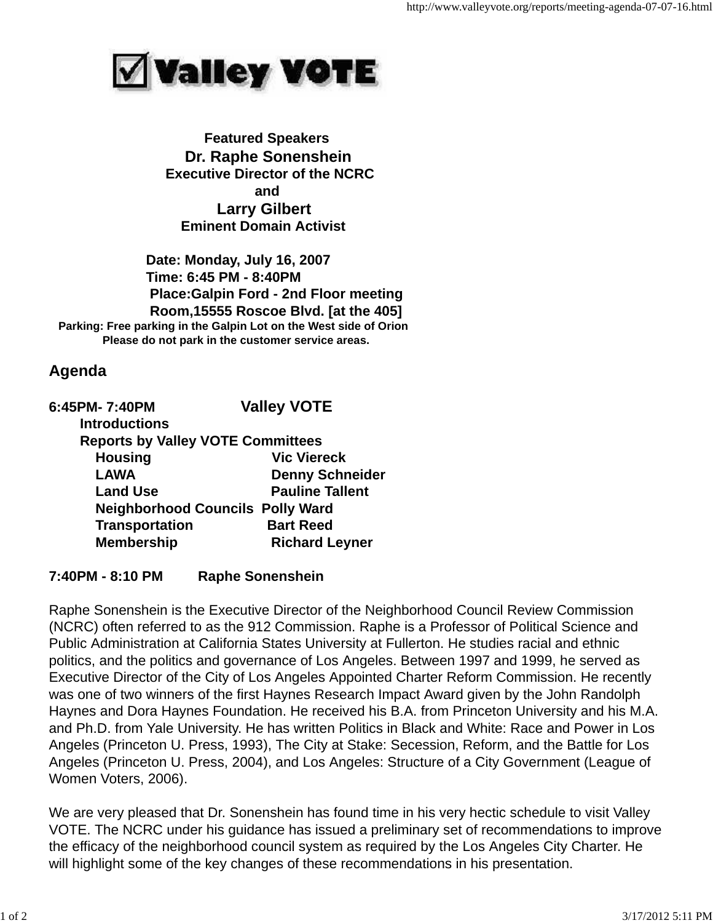

 **Featured Speakers Dr. Raphe Sonenshein Executive Director of the NCRC and Larry Gilbert Eminent Domain Activist**

 **Date: Monday, July 16, 2007 Time: 6:45 PM - 8:40PM Place:Galpin Ford - 2nd Floor meeting Room,15555 Roscoe Blvd. [at the 405] Parking: Free parking in the Galpin Lot on the West side of Orion Please do not park in the customer service areas.**

## **Agenda**

| 6:45PM-7:40PM                            | <b>Valley VOTE</b>                      |
|------------------------------------------|-----------------------------------------|
| <b>Introductions</b>                     |                                         |
| <b>Reports by Valley VOTE Committees</b> |                                         |
| <b>Housing</b>                           | <b>Vic Viereck</b>                      |
| <b>LAWA</b>                              | <b>Denny Schneider</b>                  |
| <b>Land Use</b>                          | <b>Pauline Tallent</b>                  |
|                                          | <b>Neighborhood Councils Polly Ward</b> |
| <b>Transportation</b>                    | <b>Bart Reed</b>                        |
| <b>Membership</b>                        | <b>Richard Leyner</b>                   |

## **7:40PM - 8:10 PM Raphe Sonenshein**

Raphe Sonenshein is the Executive Director of the Neighborhood Council Review Commission (NCRC) often referred to as the 912 Commission. Raphe is a Professor of Political Science and Public Administration at California States University at Fullerton. He studies racial and ethnic politics, and the politics and governance of Los Angeles. Between 1997 and 1999, he served as Executive Director of the City of Los Angeles Appointed Charter Reform Commission. He recently was one of two winners of the first Haynes Research Impact Award given by the John Randolph Haynes and Dora Haynes Foundation. He received his B.A. from Princeton University and his M.A. and Ph.D. from Yale University. He has written Politics in Black and White: Race and Power in Los Angeles (Princeton U. Press, 1993), The City at Stake: Secession, Reform, and the Battle for Los Angeles (Princeton U. Press, 2004), and Los Angeles: Structure of a City Government (League of Women Voters, 2006).

We are very pleased that Dr. Sonenshein has found time in his very hectic schedule to visit Valley VOTE. The NCRC under his guidance has issued a preliminary set of recommendations to improve the efficacy of the neighborhood council system as required by the Los Angeles City Charter. He will highlight some of the key changes of these recommendations in his presentation.